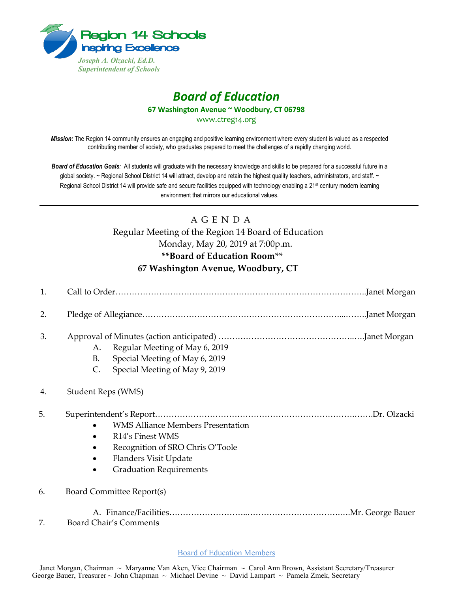

## *Board of Education*

**67 Washington Avenue ~ Woodbury, CT 06798**

www.ctreg14.org

*Mission:* The Region 14 community ensures an engaging and positive learning environment where every student is valued as a respected contributing member of society, who graduates prepared to meet the challenges of a rapidly changing world.

*Board of Education Goals:* All students will graduate with the necessary knowledge and skills to be prepared for a successful future in a global society. ~ Regional School District 14 will attract, develop and retain the highest quality teachers, administrators, and staff. ~ Regional School District 14 will provide safe and secure facilities equipped with technology enabling a 21<sup>st</sup> century modern learning environment that mirrors our educational values.

## A G E N D A

Regular Meeting of the Region 14 Board of Education Monday, May 20, 2019 at 7:00p.m. **\*\*Board of Education Room\*\* 67 Washington Avenue, Woodbury, CT**

| 1. |                                                                                                                                                             |
|----|-------------------------------------------------------------------------------------------------------------------------------------------------------------|
| 2. |                                                                                                                                                             |
| 3. | Regular Meeting of May 6, 2019<br>А.<br>Special Meeting of May 6, 2019<br><b>B.</b><br>Special Meeting of May 9, 2019<br>C.                                 |
| 4. | Student Reps (WMS)                                                                                                                                          |
| 5. | <b>WMS Alliance Members Presentation</b><br>R14's Finest WMS<br>Recognition of SRO Chris O'Toole<br>Flanders Visit Update<br><b>Graduation Requirements</b> |
| 6. | Board Committee Report(s)                                                                                                                                   |
| 7. | <b>Board Chair's Comments</b>                                                                                                                               |

## Board of Education Members